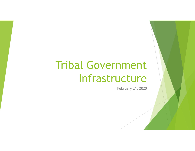# Tribal Government Infrastructure

February 21, 2020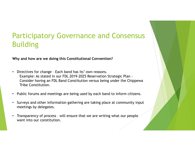# Participatory Governance and Consensus Building

Why and how are we doing this Constitutional Convention?

- Participatory Governance and Consen:<br>Building<br>Why and how are we doing this Constitutional Convention?<br>• Directives for change Each band has its' own reasons.<br>Example: As stated in our FDL 2019-2025 Reservation Strategic Example: As stated in our FDL 2019-2025 Reservation Strategic Plan - Consider having an FDL Band Constitution versus being under the Chippewa Tribe Constitution. Figure 1 All ends are we doing this Constitutional Convention?<br>
• Directives for change - Each band has its' own reasons.<br>
Example: As stated in our FDL 2019-2025 Reservation Strategic Plan -<br>
Consider having an FDL Band C
- Public forums and meetings are being used by each band to inform citizens.
- Surveys and other information gathering are taking place at community input meetings by delegates.
- want into our constitution.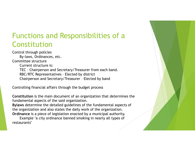# Functions and Responsibilities of a Constitution

Control through policies By-laws, Ordinances, etc. Committee structure Current structure is: **nctions and Responsibilities of a**<br> **MStitution**<br>
rol through policies<br>
By-laws, Ordinances, etc.<br>
mittee structure is:<br>
TEC - Chairperson and Secretary/Treasurer from each band.<br>
TEC - Chairperson and Secretary/Treasurer **Inctions and Responsibilities of a<br>
Institution**<br>
rol through policies<br>
By-laws, Ordinances, etc.<br>
By-laws, Ordinances, etc.<br>
mittee structure is:<br>
TEC - Chairperson and Secretary/Treasurer from each band.<br>
Chairperson an motions and Responsibilities of a<br> **Institution**<br>
rol through policies<br>
By-laws, Ordinances, etc.<br>
Current structure is:<br>
Current structure is:<br>
TEC - Chairperson and Secretary/Treasurer from each band.<br>
RBC/RTC Representa

Controlling financial affairs through the budget process

Constitution is the main document of an organization that determines the fundamental aspects of the said organization.

Bylaws determine the detailed guidelines of the fundamental aspects of the organization and also states the daily work of the organization. Ordinance is a piece of legislation enacted by a municipal authority.

Example "a city ordinance banned smoking in nearly all types of restaurants"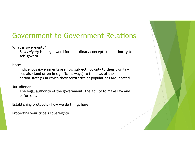# Government to Government Relations

What is sovereignty?

Sovereignty is a legal word for an ordinary concept—the authority to self-govern.

Note:

Indigenous governments are now subject not only to their own law but also (and often in significant ways) to the laws of the nation-state(s) in which their territories or populations are located. What is sovereignty?<br>
Sovereignty is a legal word for an ordinary concept—the authority to<br>
self-govern.<br>
Note:<br>
Indigenous governments are now subject not only to their own law<br>
but also (and often in significant ways) to

Jurisdiction

The legal authority of the government, the ability to make law and enforce it.

Protecting your tribe's sovereignty

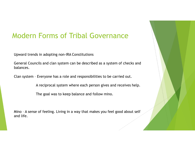# Modern Forms of Tribal Governance

Upward trends in adopting non-IRA Constitutions

General Councils and clan system can be described as a system of checks and balances. Modern Forms of Tribal Governance<br>
Upward trends in adopting non-IRA Constitutions<br>
General Councils and clan system can be described as a system of checks and<br>
palances.<br>
Clan system - Everyone has a role and responsibili Upward trends in adopting non-IRA Constitutions<br>
General Councils and clan system can be described as a system of checks and<br>
balances.<br>
Clan system - Everyone has a role and responsibilities to be carried out.<br>
A reciproc

A reciprocal system where each person gives and receives help.

The goal was to keep balance and follow mino.

and life.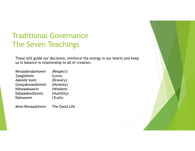# Traditional Governance The Seven Teachings **Traditional Governance**<br> **The Seven Teachings**<br>
These still guide our decisions; reinforce the energy in our hearts and k<br>
us in balance in relationship to all of creation.<br>
Minaadendamowin (Respect)<br>
Zaagiidiwin (Love)<br>

These still guide our decisions; reinforce the energy in our hearts and keep us in balance in relationship to all of creation.

|                            | <b>Fraditional Governance</b>                                                                                                  |
|----------------------------|--------------------------------------------------------------------------------------------------------------------------------|
| The Seven Teachings        |                                                                                                                                |
|                            | These still guide our decisions; reinforce the energy in our hearts and k<br>us in balance in relationship to all of creation. |
| Minaadendamowin            | (Respect)                                                                                                                      |
| Zaagiidiwin<br>Aakode'ewin | (Love)<br>(Bravery)                                                                                                            |
| Gwayakwaadiziwin           | (Honesty)                                                                                                                      |
| Nibwaakaawin               | (Wisdom)                                                                                                                       |
| Dabaadendiziwin            | (Humility)                                                                                                                     |
| Debwewin                   | (Truth)                                                                                                                        |
| Mino-Bimaadiziwin          | The Good Life                                                                                                                  |
|                            |                                                                                                                                |
|                            |                                                                                                                                |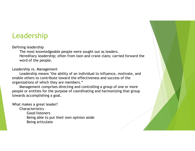## Leadership

#### Defining leadership

The most knowledgeable people were sought out as leaders. Hereditary leadership; often from loon and crane clans; carried forward the word of the people.

#### Leadership vs. Management

Leadership means "the ability of an individual to influence, motivate, and enable others to contribute toward the effectiveness and success of the organizations of which they are members."

Management comprises directing and controlling a group of one or more people or entities for the purpose of coordinating and harmonizing that group towards accomplishing a goal.

What makes a great leader?

Characteristics –

Good listeners Being able to put their own opinion aside Being articulate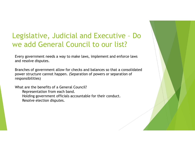# Legislative, Judicial and Executive - Do<br>we add General Council to our list? we add General Council to our list?

Every government needs a way to make laws, implement and enforce laws and resolve disputes.

Branches of government allow for checks and balances so that a consolidated power structure cannot happen. (Separation of powers or separation of responsibilities)

What are the benefits of a General Council? Representation from each band. Holding government officials accountable for their conduct. Resolve election disputes.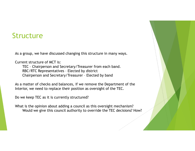### Structure

As a group, we have discussed changing this structure in many ways.

Current structure of MCT is:

UCLUTE<br>group, we have discussed changing this structure in many ways.<br>TEC – Chairperson and Secretary/Treasurer from each band.<br>TEC – Chairperson and Secretary/Treasurer from each band.<br>Chairperson and Secretary/Treasurer **UCTUTE**<br>Broup, we have discussed changing this structure in many ways.<br>TEC - Chairperson and Secretary/Treasurer from each band.<br>RBC/RTC Representatives - Elected by district<br>Chairperson and Secretary/Treasurer - Elected

As a matter of checks and balances, if we remove the Department of the Interior, we need to replace their position as oversight of the TEC.

Do we keep TEC as it is currently structured?

What is the opinion about adding a council as this oversight mechanism? Would we give this council authority to override the TEC decisions? How?

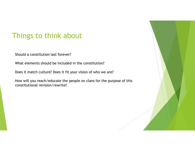# Things to think about

Should a constitution last forever?

What elements should be included in the constitution?

Does it match culture? Does it fit your vision of who we are?

How will you reach/educate the people on clans for the purpose of this constitutional revision/rewrite?